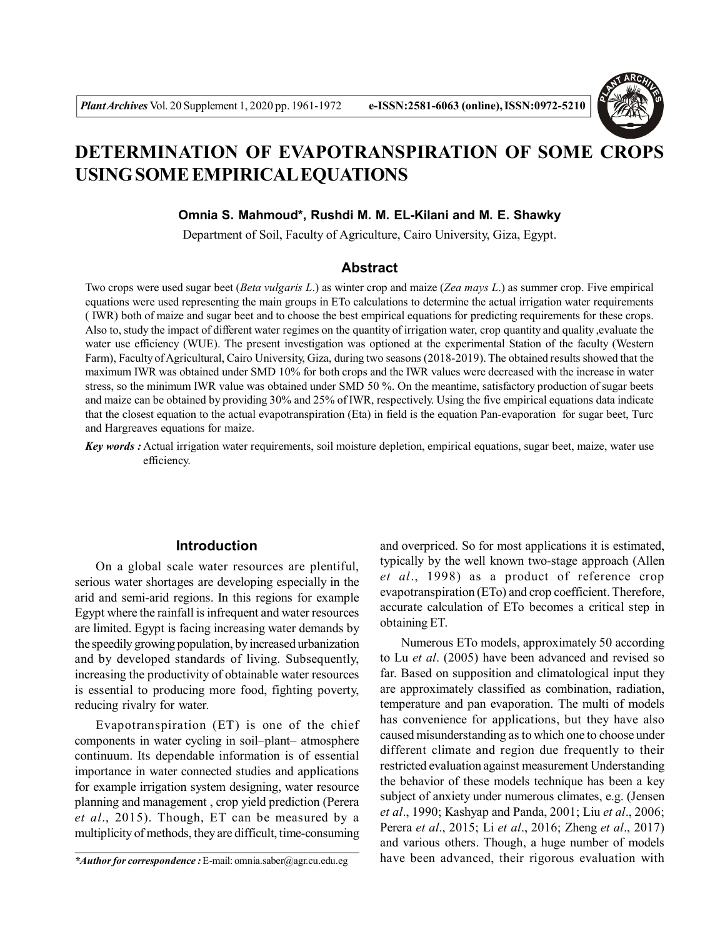

# **DETERMINATION OF EVAPOTRANSPIRATION OF SOME CROPS USING SOME EMPIRICAL EQUATIONS**

#### **Omnia S. Mahmoud\*, Rushdi M. M. EL-Kilani and M. E. Shawky**

Department of Soil, Faculty of Agriculture, Cairo University, Giza, Egypt.

### **Abstract**

Two crops were used sugar beet (*Beta vulgaris L*.) as winter crop and maize (*Zea mays L*.) as summer crop. Five empirical equations were used representing the main groups in ETo calculations to determine the actual irrigation water requirements ( IWR) both of maize and sugar beet and to choose the best empirical equations for predicting requirements for these crops. Also to, study the impact of different water regimes on the quantity of irrigation water, crop quantity and quality ,evaluate the water use efficiency (WUE). The present investigation was optioned at the experimental Station of the faculty (Western Farm), Faculty of Agricultural, Cairo University, Giza, during two seasons (2018-2019). The obtained results showed that the maximum IWR was obtained under SMD 10% for both crops and the IWR values were decreased with the increase in water stress, so the minimum IWR value was obtained under SMD 50 %. On the meantime, satisfactory production of sugar beets and maize can be obtained by providing 30% and 25% of IWR, respectively. Using the five empirical equations data indicate that the closest equation to the actual evapotranspiration (Eta) in field is the equation Pan-evaporation for sugar beet, Turc and Hargreaves equations for maize.

*Key words :* Actual irrigation water requirements, soil moisture depletion, empirical equations, sugar beet, maize, water use efficiency.

#### **Introduction**

On a global scale water resources are plentiful, serious water shortages are developing especially in the arid and semi-arid regions. In this regions for example Egypt where the rainfall is infrequent and water resources are limited. Egypt is facing increasing water demands by the speedily growing population, by increased urbanization and by developed standards of living. Subsequently, increasing the productivity of obtainable water resources is essential to producing more food, fighting poverty, reducing rivalry for water.

Evapotranspiration (ET) is one of the chief components in water cycling in soil–plant– atmosphere continuum. Its dependable information is of essential importance in water connected studies and applications for example irrigation system designing, water resource planning and management , crop yield prediction (Perera *et al*., 2015). Though, ET can be measured by a multiplicity of methods, they are difficult, time-consuming

and overpriced. So for most applications it is estimated, typically by the well known two-stage approach (Allen *et al*., 1998) as a product of reference crop evapotranspiration (ETo) and crop coefficient. Therefore, accurate calculation of ETo becomes a critical step in obtaining ET.

Numerous ETo models, approximately 50 according to Lu *et al*. (2005) have been advanced and revised so far. Based on supposition and climatological input they are approximately classified as combination, radiation, temperature and pan evaporation. The multi of models has convenience for applications, but they have also caused misunderstanding as to which one to choose under different climate and region due frequently to their restricted evaluation against measurement Understanding the behavior of these models technique has been a key subject of anxiety under numerous climates, e.g. (Jensen *et al*., 1990; Kashyap and Panda, 2001; Liu *et al*., 2006; Perera *et al*., 2015; Li *et al*., 2016; Zheng *et al*., 2017) and various others. Though, a huge number of models have been advanced, their rigorous evaluation with

*<sup>\*</sup>Author for correspondence :* E-mail: omnia.saber@agr.cu.edu.eg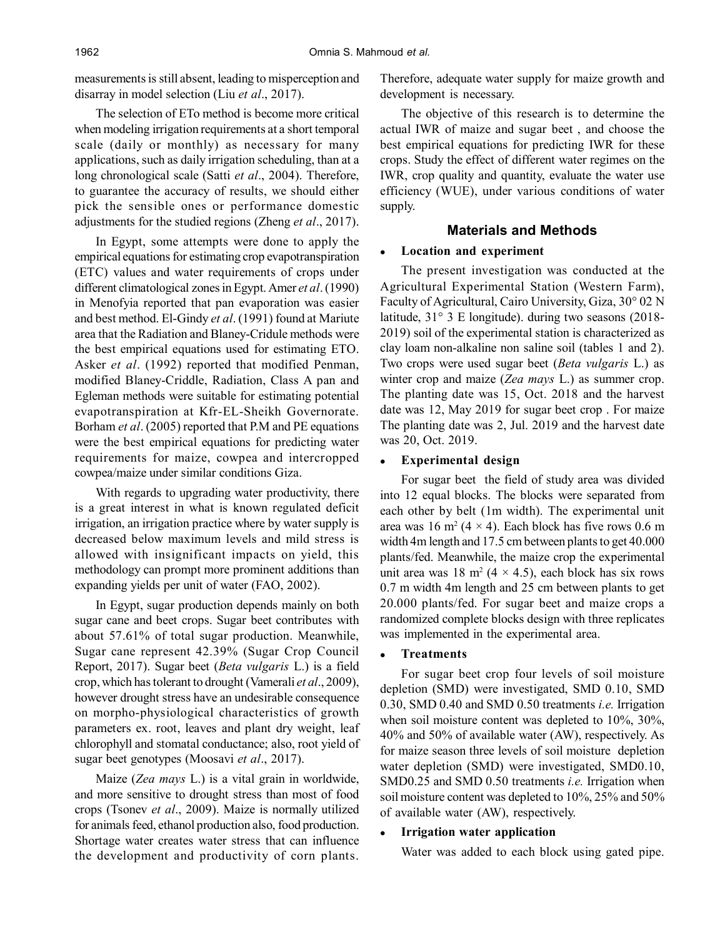measurements is still absent, leading to misperception and disarray in model selection (Liu *et al*., 2017).

The selection of ETo method is become more critical when modeling irrigation requirements at a short temporal scale (daily or monthly) as necessary for many applications, such as daily irrigation scheduling, than at a long chronological scale (Satti *et al*., 2004). Therefore, to guarantee the accuracy of results, we should either pick the sensible ones or performance domestic adjustments for the studied regions (Zheng *et al*., 2017).

In Egypt, some attempts were done to apply the empirical equations for estimating crop evapotranspiration (ETC) values and water requirements of crops under different climatological zones in Egypt. Amer *et al*. (1990) in Menofyia reported that pan evaporation was easier and best method. El-Gindy *et al*. (1991) found at Mariute area that the Radiation and Blaney-Cridule methods were the best empirical equations used for estimating ETO. Asker *et al*. (1992) reported that modified Penman, modified Blaney-Criddle, Radiation, Class A pan and Egleman methods were suitable for estimating potential evapotranspiration at Kfr-EL-Sheikh Governorate. Borham *et al*. (2005) reported that P.M and PE equations were the best empirical equations for predicting water requirements for maize, cowpea and intercropped cowpea/maize under similar conditions Giza.

With regards to upgrading water productivity, there is a great interest in what is known regulated deficit irrigation, an irrigation practice where by water supply is decreased below maximum levels and mild stress is allowed with insignificant impacts on yield, this methodology can prompt more prominent additions than expanding yields per unit of water (FAO, 2002).

In Egypt, sugar production depends mainly on both sugar cane and beet crops. Sugar beet contributes with about 57.61% of total sugar production. Meanwhile, Sugar cane represent 42.39% (Sugar Crop Council Report, 2017). Sugar beet (*Beta vulgaris* L.) is a field crop, which has tolerant to drought (Vamerali *et al*., 2009), however drought stress have an undesirable consequence on morpho-physiological characteristics of growth parameters ex. root, leaves and plant dry weight, leaf chlorophyll and stomatal conductance; also, root yield of sugar beet genotypes (Moosavi *et al*., 2017).

Maize (*Zea mays* L.) is a vital grain in worldwide, and more sensitive to drought stress than most of food crops (Tsonev *et al*., 2009). Maize is normally utilized for animals feed, ethanol production also, food production. Shortage water creates water stress that can influence the development and productivity of corn plants. Therefore, adequate water supply for maize growth and development is necessary.

The objective of this research is to determine the actual IWR of maize and sugar beet , and choose the best empirical equations for predicting IWR for these crops. Study the effect of different water regimes on the IWR, crop quality and quantity, evaluate the water use efficiency (WUE), under various conditions of water supply.

### **Materials and Methods**

#### **Location and experiment**

The present investigation was conducted at the Agricultural Experimental Station (Western Farm), Faculty of Agricultural, Cairo University, Giza, 30° 02 N latitude, 31° 3 E longitude). during two seasons (2018- 2019) soil of the experimental station is characterized as clay loam non-alkaline non saline soil (tables 1 and 2). Two crops were used sugar beet (*Beta vulgaris* L.) as winter crop and maize (*Zea mays* L.) as summer crop. The planting date was 15, Oct. 2018 and the harvest date was 12, May 2019 for sugar beet crop . For maize The planting date was 2, Jul. 2019 and the harvest date was 20, Oct. 2019.

#### **Experimental design**

For sugar beet the field of study area was divided into 12 equal blocks. The blocks were separated from each other by belt (1m width). The experimental unit area was  $16 \text{ m}^2 (4 \times 4)$ . Each block has five rows 0.6 m width 4m length and 17.5 cm between plants to get 40.000 plants/fed. Meanwhile, the maize crop the experimental unit area was  $18 \text{ m}^2 (4 \times 4.5)$ , each block has six rows 0.7 m width 4m length and 25 cm between plants to get 20.000 plants/fed. For sugar beet and maize crops a randomized complete blocks design with three replicates was implemented in the experimental area.

#### **Treatments**

For sugar beet crop four levels of soil moisture depletion (SMD) were investigated, SMD 0.10, SMD 0.30, SMD 0.40 and SMD 0.50 treatments *i.e.* Irrigation when soil moisture content was depleted to 10%, 30%, 40% and 50% of available water (AW), respectively. As for maize season three levels of soil moisture depletion water depletion (SMD) were investigated, SMD0.10, SMD0.25 and SMD 0.50 treatments *i.e.* Irrigation when soil moisture content was depleted to 10%, 25% and 50% of available water (AW), respectively.

### **Irrigation water application**

Water was added to each block using gated pipe.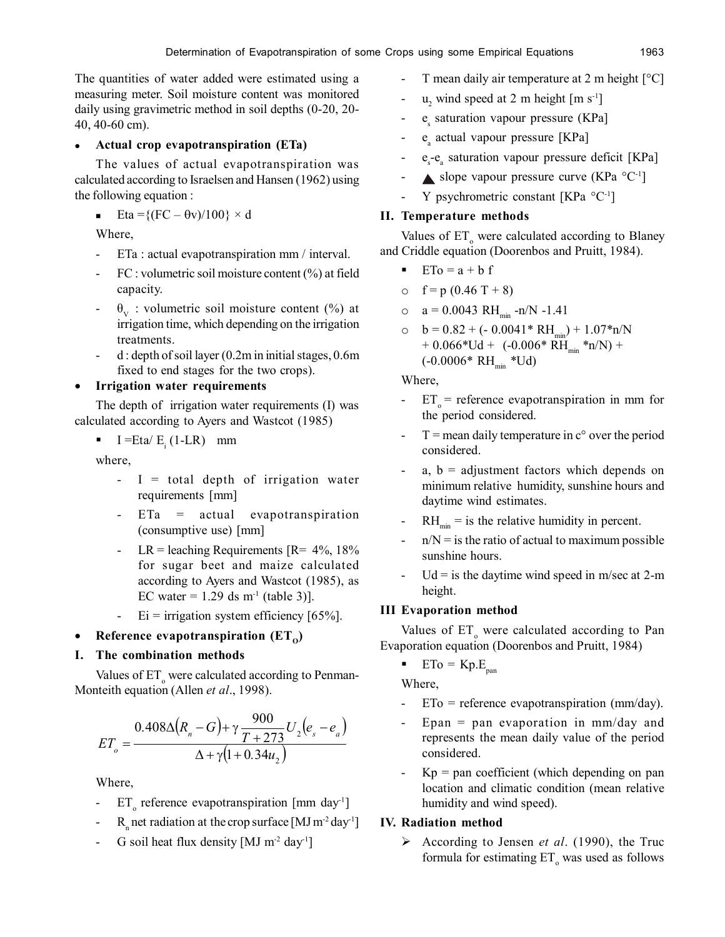The quantities of water added were estimated using a measuring meter. Soil moisture content was monitored daily using gravimetric method in soil depths (0-20, 20- 40, 40-60 cm).

### **Actual crop evapotranspiration (ETa)**

The values of actual evapotranspiration was calculated according to Israelsen and Hansen (1962) using the following equation :

**Eta** ={(FC –  $\theta$ v)/100} × d

Where,

- ETa : actual evapotranspiration mm / interval.
- FC : volumetric soil moisture content (%) at field capacity.
- $\theta_{V}$  : volumetric soil moisture content (%) at irrigation time, which depending on the irrigation treatments.
- $d$ : depth of soil layer (0.2m in initial stages, 0.6m) fixed to end stages for the two crops).

### **Irrigation water requirements**

The depth of irrigation water requirements (I) was calculated according to Ayers and Wastcot (1985)

 $I = Eta/E_i (1-LR)$  mm

where,

- I = total depth of irrigation water requirements [mm]
- $ETa = actual evaporation$ (consumptive use) [mm]
- LR = leaching Requirements  $[R = 4\%, 18\%]$ for sugar beet and maize calculated according to Ayers and Wastcot (1985), as EC water =  $1.29$  ds m<sup>-1</sup> (table 3)].
- $Ei =$  irrigation system efficiency [65%].

# • Reference evapotranspiration  $(ET_0)$

### **I. The combination methods**

Values of ET<sub>o</sub> were calculated according to Penman-Monteith equation (Allen *et al*., 1998).

$$
ET_o = \frac{0.408\Delta (R_n - G) + \gamma \frac{900}{T + 273} U_2 (e_s - e_a)}{\Delta + \gamma (1 + 0.34u_2)}
$$

Where,

- $ET_{o}$  reference evapotranspiration [mm day<sup>1</sup>]
- $R_n$  net radiation at the crop surface [MJ m<sup>-2</sup> day<sup>-1</sup>]
- G soil heat flux density  $[MJ m<sup>-2</sup> day<sup>-1</sup>]$
- T mean daily air temperature at 2 m height  $[°C]$
- $u_2$  wind speed at 2 m height  $[m s<sup>-1</sup>]$
- e<sub>s</sub> saturation vapour pressure (KPa]
- e<sub>a</sub> actual vapour pressure [KPa]
- $e_s e_a$  saturation vapour pressure deficit [KPa]
- slope vapour pressure curve (KPa  $^{\circ}$ C<sup>-1</sup>]
- Y psychrometric constant [KPa  $^{\circ}$ C<sup>-1</sup>]

### **II. Temperature methods**

Values of ET<sub>o</sub> were calculated according to Blaney and Criddle equation (Doorenbos and Pruitt, 1984).

- $\blacksquare$  ETo = a + b f
- o  $f = p(0.46 T + 8)$
- o  $a = 0.0043 \text{ RH}_{\text{min}}$  -n/N -1.41
- o  $b = 0.82 + (-0.0041 * RH_{min}) + 1.07 * n/N$  $+ 0.066*Ud + (-0.006* RH_{min}*n/N) +$  $(-0.0006* RH_{min}*Ud)$

Where,

- $ET_0$  = reference evapotranspiration in mm for the period considered.
- $T$  = mean daily temperature in  $c^{\circ}$  over the period considered.
- a,  $b =$  adjustment factors which depends on minimum relative humidity, sunshine hours and daytime wind estimates.
- $\text{RH}_{\text{min}}$  = is the relative humidity in percent.
- $n/N =$  is the ratio of actual to maximum possible sunshine hours.
- $Ud =$  is the daytime wind speed in m/sec at 2-m height.

### **III Evaporation method**

Values of  $ET_{o}$  were calculated according to Pan Evaporation equation (Doorenbos and Pruitt, 1984)

 $ETo = Kp.E<sub>pan</sub>$ 

Where,

- $ETo = reference evaporation (mm/day).$
- Epan = pan evaporation in mm/day and represents the mean daily value of the period considered.
- Kp = pan coefficient (which depending on pan location and climatic condition (mean relative humidity and wind speed).

### **IV. Radiation method**

 According to Jensen *et al*. (1990), the Truc formula for estimating  $ET_0$  was used as follows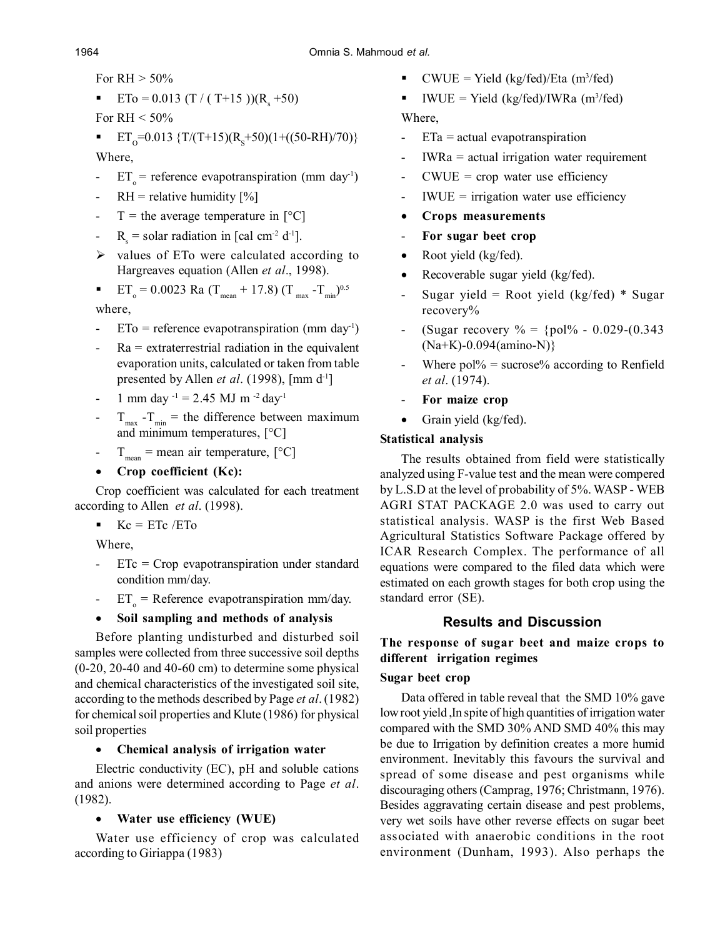For  $RH > 50\%$ 

- **ETo** = 0.013 (T / (T+15 ))(R<sub>s</sub> +50)
- For RH  $< 50\%$
- **ET**<sub>0</sub>=0.013 {T/(T+15)(R<sub>s</sub>+50)(1+((50-RH)/70)} Where,
- $ET_0$  = reference evapotranspiration (mm day<sup>1</sup>)
- $RH =$  relative humidity  $[\%]$
- $T =$  the average temperature in  $[°C]$
- $R_s$  = solar radiation in [cal cm<sup>-2</sup> d<sup>-1</sup>].
- $\triangleright$  values of ETo were calculated according to Hargreaves equation (Allen *et al*., 1998).
- **ET<sub>o</sub>** = 0.0023 Ra (T<sub>mean</sub> + 17.8) (T<sub>max</sub> -T<sub>min</sub>)<sup>0.5</sup>

where,

- $ETo =$  reference evapotranspiration (mm day<sup>1</sup>)
- Ra = extraterrestrial radiation in the equivalent evaporation units, calculated or taken from table presented by Allen *et al*. (1998), [mm d-1]
- 1 mm day  $^{-1}$  = 2.45 MJ m  $^{-2}$  day<sup>-1</sup>
- $T_{\text{max}}$   $T_{\text{min}}$  = the difference between maximum and minimum temperatures, [°C]
- $T_{\text{mean}} = \text{mean air temperature}, [^{\circ}C]$
- **Crop coefficient (Kc):**

Crop coefficient was calculated for each treatment according to Allen *et al*. (1998).

 $\text{Kc} = \text{ETc} / \text{ETo}$ 

Where,

- ETc = Crop evapotranspiration under standard condition mm/day.
- $ET_0$  = Reference evapotranspiration mm/day.

# **Soil sampling and methods of analysis**

Before planting undisturbed and disturbed soil samples were collected from three successive soil depths (0-20, 20-40 and 40-60 cm) to determine some physical and chemical characteristics of the investigated soil site, according to the methods described by Page *et al*. (1982) for chemical soil properties and Klute (1986) for physical soil properties

# **Chemical analysis of irrigation water**

Electric conductivity (EC), pH and soluble cations and anions were determined according to Page *et al*. (1982).

# **Water use efficiency (WUE)**

Water use efficiency of crop was calculated according to Giriappa (1983)

- **CWUE** = Yield  $\frac{kg}{fed}$ Eta  $\frac{m^3}{fed}$
- **IWUE** = Yield (kg/fed)/IWRa (m<sup>3</sup>/fed) Where,
- ETa = actual evapotranspiration
- IWRa = actual irrigation water requirement
- $CWUE = crop$  water use efficiency
- IWUE = irrigation water use efficiency
- **Crops measurements**
- **For sugar beet crop**
- Root yield (kg/fed).
- Recoverable sugar yield (kg/fed).
- Sugar yield = Root yield  $(kg/fed) * Sugar$ recovery%
- (Sugar recovery  $\% = \{ \text{pol}\% \text{ } 0.029\text{-} (0.343) \}$ (Na+K)-0.094(amino-N)}
- Where  $\text{pol}\%$  = sucrose% according to Renfield *et al*. (1974).
- For maize crop
- Grain yield (kg/fed).

# **Statistical analysis**

The results obtained from field were statistically analyzed using F-value test and the mean were compered by L.S.D at the level of probability of 5%. WASP - WEB AGRI STAT PACKAGE 2.0 was used to carry out statistical analysis. WASP is the first Web Based Agricultural Statistics Software Package offered by ICAR Research Complex. The performance of all equations were compared to the filed data which were estimated on each growth stages for both crop using the standard error (SE).

# **Results and Discussion**

### **The response of sugar beet and maize crops to different irrigation regimes**

### **Sugar beet crop**

Data offered in table reveal that the SMD 10% gave low root yield ,In spite of high quantities of irrigation water compared with the SMD 30% AND SMD 40% this may be due to Irrigation by definition creates a more humid environment. Inevitably this favours the survival and spread of some disease and pest organisms while discouraging others (Camprag, 1976; Christmann, 1976). Besides aggravating certain disease and pest problems, very wet soils have other reverse effects on sugar beet associated with anaerobic conditions in the root environment (Dunham, 1993). Also perhaps the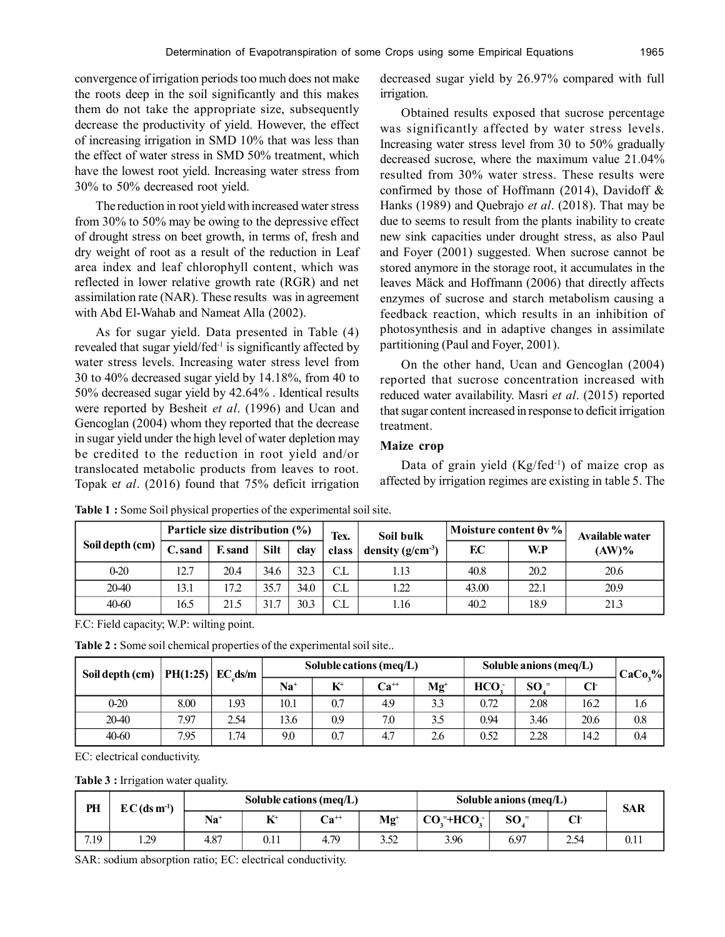convergence of irrigation periods too much does not make the roots deep in the soil significantly and this makes them do not take the appropriate size, subsequently decrease the productivity of yield. However, the effect of increasing irrigation in SMD 10% that was less than the effect of water stress in SMD 50% treatment, which have the lowest root yield. Increasing water stress from 30% to 50% decreased root yield.

The reduction in root yield with increased water stress from 30% to 50% may be owing to the depressive effect of drought stress on beet growth, in terms of, fresh and dry weight of root as a result of the reduction in Leaf area index and leaf chlorophyll content, which was reflected in lower relative growth rate (RGR) and net assimilation rate (NAR). These results was in agreement with Abd El-Wahab and Nameat Alla (2002).

As for sugar yield. Data presented in Table (4) revealed that sugar yield/fed<sup>-1</sup> is significantly affected by water stress levels. Increasing water stress level from 30 to 40% decreased sugar yield by 14.18%, from 40 to 50% decreased sugar yield by 42.64% . Identical results were reported by Besheit *et al*. (1996) and Ucan and Gencoglan (2004) whom they reported that the decrease in sugar yield under the high level of water depletion may be credited to the reduction in root yield and/or translocated metabolic products from leaves to root. Topak e*t al*. (2016) found that 75% deficit irrigation decreased sugar yield by 26.97% compared with full irrigation.

Obtained results exposed that sucrose percentage was significantly affected by water stress levels. Increasing water stress level from 30 to 50% gradually decreased sucrose, where the maximum value 21.04% resulted from 30% water stress. These results were confirmed by those of Hoffmann (2014), Davidoff  $\&$ Hanks (1989) and Quebrajo *et al*. (2018). That may be due to seems to result from the plants inability to create new sink capacities under drought stress, as also Paul and Foyer (2001) suggested. When sucrose cannot be stored anymore in the storage root, it accumulates in the leaves Mäck and Hoffmann (2006) that directly affects enzymes of sucrose and starch metabolism causing a feedback reaction, which results in an inhibition of photosynthesis and in adaptive changes in assimilate partitioning (Paul and Foyer, 2001).

On the other hand, Ucan and Gencoglan (2004) reported that sucrose concentration increased with reduced water availability. Masri *et al*. (2015) reported that sugar content increased in response to deficit irrigation treatment.

#### **Maize crop**

Data of grain yield  $(Kg/fed^{-1})$  of maize crop as affected by irrigation regimes are existing in table 5. The

|                 |        | Particle size distribution $(\% )$ |             |      | Tex.               | Soil bulk             | Moisture content $\theta v \%$ |      | Available water |  |
|-----------------|--------|------------------------------------|-------------|------|--------------------|-----------------------|--------------------------------|------|-----------------|--|
| Soil depth (cm) | C.sand | F. sand                            | <b>Silt</b> | clav | class <sup>1</sup> | density $(g/cm^{-3})$ | F.C                            | W.P  | $(AW)\%$        |  |
| $0-20$          | 12.7   | 20.4                               | 34.6        | 32.3 | C.L                | 1.13                  | 40.8                           | 20.2 | 20.6            |  |
| 20-40           | 13.1   | 17.2                               | 35.7        | 34.0 | C.L                | 22                    | 43.00                          | 22.1 | 20.9            |  |
| 40-60           | 16.5   | 21.5                               | 31.7        | 30.3 | C.L                | 1.16                  | 40.2                           | 18.9 | 21.3            |  |

**Table 1 :** Some Soil physical properties of the experimental soil site.

F.C: Field capacity; W.P: wilting point.

**Table 2 :** Some soil chemical properties of the experimental soil site..

| Soil depth (cm) |      |      |       |                            |           | $PH(1:25)$ EC ds/m |                  | Soluble cations (meq/L) |      |     | Soluble anions (meq/L) | $CaCo2$ % |
|-----------------|------|------|-------|----------------------------|-----------|--------------------|------------------|-------------------------|------|-----|------------------------|-----------|
|                 |      |      | $Na+$ | $K^{\scriptscriptstyle +}$ | $Ca^{++}$ | $Mg+$              | HCO <sub>2</sub> | SO <sup>2</sup>         | Cŀ   |     |                        |           |
| $0-20$          | 8.00 | 1.93 | 10.1  | 0.7                        | 4.9       | 3.3                | 0.72             | 2.08                    | 16.2 | 1.6 |                        |           |
| 20-40           | 7.97 | 2.54 | 13.6  | 0.9                        | 7.0       | 3.5                | 0.94             | 3.46                    | 20.6 | 0.8 |                        |           |
| 40-60           | 7.95 | . 74 | 9.0   | 0.7                        | 4.7       | 2.6                | 0.52             | 2.28                    | 14.2 | 0.4 |                        |           |

EC: electrical conductivity.

**Table 3 :** Irrigation water quality.

| PH   | $EC$ (ds m <sup>-1</sup> ) |       |            | Soluble cations (meq/L) |                                     | Soluble anions (meg/L) |                 |      | <b>SAR</b> |
|------|----------------------------|-------|------------|-------------------------|-------------------------------------|------------------------|-----------------|------|------------|
|      |                            | $Na+$ | $L^+$<br>A | $\mathbf{Ca}^{++}$      | $\mathbf{M}\mathbf{g}^{\mathbf{+}}$ | $COz + HCOz$           | SO <sup>2</sup> | Cŀ   |            |
| 7.19 | 1.29                       | 4.87  | 0.11       | 4.79                    | 3.52                                | 3.96                   | 6.97            | 2.54 | 0.11       |

SAR: sodium absorption ratio; EC: electrical conductivity.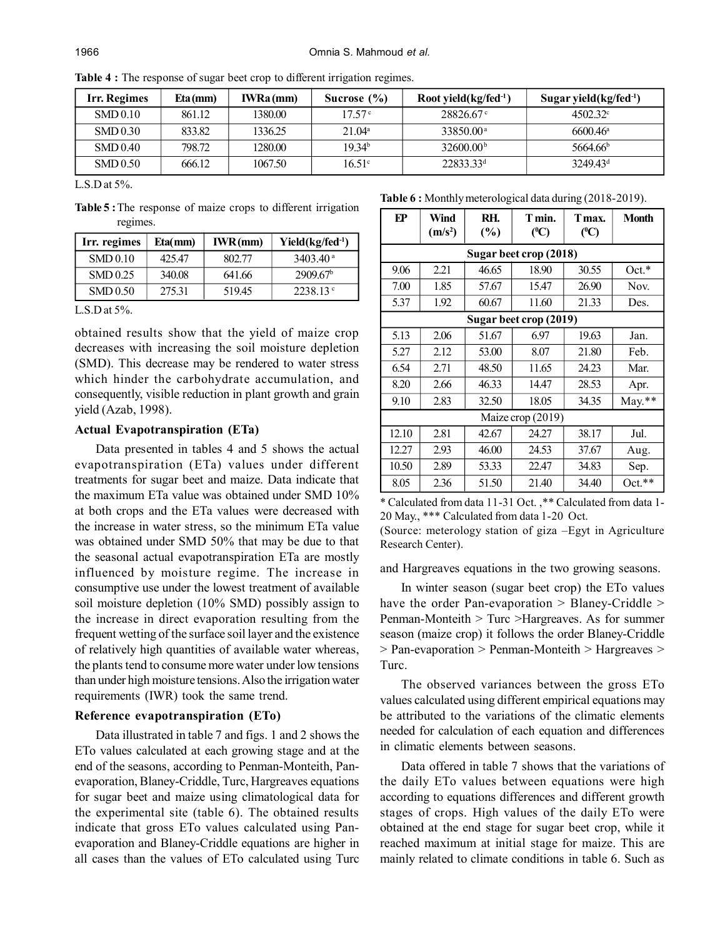| Irr. Regimes | Eta(mm) | <b>IWRa</b> (mm) | Sucrose $(\% )$    | Root yield $(kg$ fed <sup>-1</sup> ) | Sugar yield $(kg/fed^{-1})$ |
|--------------|---------|------------------|--------------------|--------------------------------------|-----------------------------|
| SMD 0.10     | 861.12  | 1380.00          | 17.57 <sup>c</sup> | $28826.67$ °                         | $4502.32^{\circ}$           |
| SMD 0.30     | 833.82  | 1336.25          | 21.04 <sup>a</sup> | 33850.00 <sup>a</sup>                | $6600.46^{\circ}$           |
| SMD 0.40     | 798.72  | 1280.00          | 19.34 <sup>b</sup> | 32600.00 <sup>b</sup>                | 5664.66 <sup>b</sup>        |
| SMD 0.50     | 666.12  | 1067.50          | $16.51^{\circ}$    | $22833.33^{d}$                       | 324943 <sup>d</sup>         |

**Table 4 :** The response of sugar beet crop to different irrigation regimes.

L.S.D at  $5\%$ .

**Table 5 :**The response of maize crops to different irrigation regimes.

| Irr. regimes | Eta(mm) | IWR(mm) | $Yield(kg/fed-1)$     |
|--------------|---------|---------|-----------------------|
| SMD 0.10     | 425.47  | 802.77  | $3403.40^{\text{ a}}$ |
| SMD 0.25     | 340.08  | 641.66  | 2909.67 <sup>b</sup>  |
| SMD 0.50     | 275.31  | 519.45  | 2238.13°              |

L.S.D at 5%.

obtained results show that the yield of maize crop decreases with increasing the soil moisture depletion (SMD). This decrease may be rendered to water stress which hinder the carbohydrate accumulation, and consequently, visible reduction in plant growth and grain yield (Azab, 1998).

#### **Actual Evapotranspiration (ETa)**

Data presented in tables 4 and 5 shows the actual evapotranspiration (ETa) values under different treatments for sugar beet and maize. Data indicate that the maximum ETa value was obtained under SMD 10% at both crops and the ETa values were decreased with the increase in water stress, so the minimum ETa value was obtained under SMD 50% that may be due to that the seasonal actual evapotranspiration ETa are mostly influenced by moisture regime. The increase in consumptive use under the lowest treatment of available soil moisture depletion (10% SMD) possibly assign to the increase in direct evaporation resulting from the frequent wetting of the surface soil layer and the existence of relatively high quantities of available water whereas, the plants tend to consume more water under low tensions than under high moisture tensions. Also the irrigation water requirements (IWR) took the same trend.

### **Reference evapotranspiration (ETo)**

Data illustrated in table 7 and figs. 1 and 2 shows the ETo values calculated at each growing stage and at the end of the seasons, according to Penman-Monteith, Panevaporation, Blaney-Criddle, Turc, Hargreaves equations for sugar beet and maize using climatological data for the experimental site (table 6). The obtained results indicate that gross ETo values calculated using Panevaporation and Blaney-Criddle equations are higher in all cases than the values of ETo calculated using Turc

**Table 6 :** Monthly meterological data during (2018-2019).

| EP    | Wind<br>(m/s <sup>2</sup> ) | RH.<br>(%) | T min.<br>$(^{0}C)$ | Tmax.<br>$(^{0}C)$ | <b>Month</b> |  |  |  |  |  |  |
|-------|-----------------------------|------------|---------------------|--------------------|--------------|--|--|--|--|--|--|
|       | Sugar beet crop (2018)      |            |                     |                    |              |  |  |  |  |  |  |
| 9.06  | 2.21                        | 46.65      | 18.90               | 30.55              | $Oct.*$      |  |  |  |  |  |  |
| 7.00  | 1.85                        | 57.67      | 15.47               | 26.90              | Nov.         |  |  |  |  |  |  |
| 5.37  | 1.92                        | 60.67      | 11.60               | 21.33              | Des.         |  |  |  |  |  |  |
|       | Sugar beet crop (2019)      |            |                     |                    |              |  |  |  |  |  |  |
| 5.13  | 2.06                        | 51.67      | 6.97                | 19.63              | Jan.         |  |  |  |  |  |  |
| 5.27  | 2.12                        | 53.00      | 8.07                | 21.80              | Feb.         |  |  |  |  |  |  |
| 6.54  | 2.71                        | 48.50      | 11.65               | 24.23              | Mar.         |  |  |  |  |  |  |
| 8.20  | 2.66                        | 46.33      | 14.47               | 28.53              | Apr.         |  |  |  |  |  |  |
| 9.10  | 2.83                        | 32.50      | 18.05               | 34.35              | $May.**$     |  |  |  |  |  |  |
|       |                             |            | Maize crop (2019)   |                    |              |  |  |  |  |  |  |
| 12.10 | 2.81                        | 42.67      | 24.27               | 38.17              | Jul.         |  |  |  |  |  |  |
| 12.27 | 2.93                        | 46.00      | 24.53               | 37.67              | Aug.         |  |  |  |  |  |  |
| 10.50 | 2.89                        | 53.33      | 22.47               | 34.83              | Sep.         |  |  |  |  |  |  |
| 8.05  | 2.36                        | 51.50      | 21.40               | 34.40              | $Oct.**$     |  |  |  |  |  |  |

\* Calculated from data 11-31 Oct. ,\*\* Calculated from data 1- 20 May., \*\*\* Calculated from data 1-20 Oct.

(Source: meterology station of giza –Egyt in Agriculture Research Center).

and Hargreaves equations in the two growing seasons.

In winter season (sugar beet crop) the ETo values have the order Pan-evaporation > Blaney-Criddle > Penman-Monteith > Turc >Hargreaves. As for summer season (maize crop) it follows the order Blaney-Criddle > Pan-evaporation > Penman-Monteith > Hargreaves > Turc.

The observed variances between the gross ETo values calculated using different empirical equations may be attributed to the variations of the climatic elements needed for calculation of each equation and differences in climatic elements between seasons.

Data offered in table 7 shows that the variations of the daily ETo values between equations were high according to equations differences and different growth stages of crops. High values of the daily ETo were obtained at the end stage for sugar beet crop, while it reached maximum at initial stage for maize. This are mainly related to climate conditions in table 6. Such as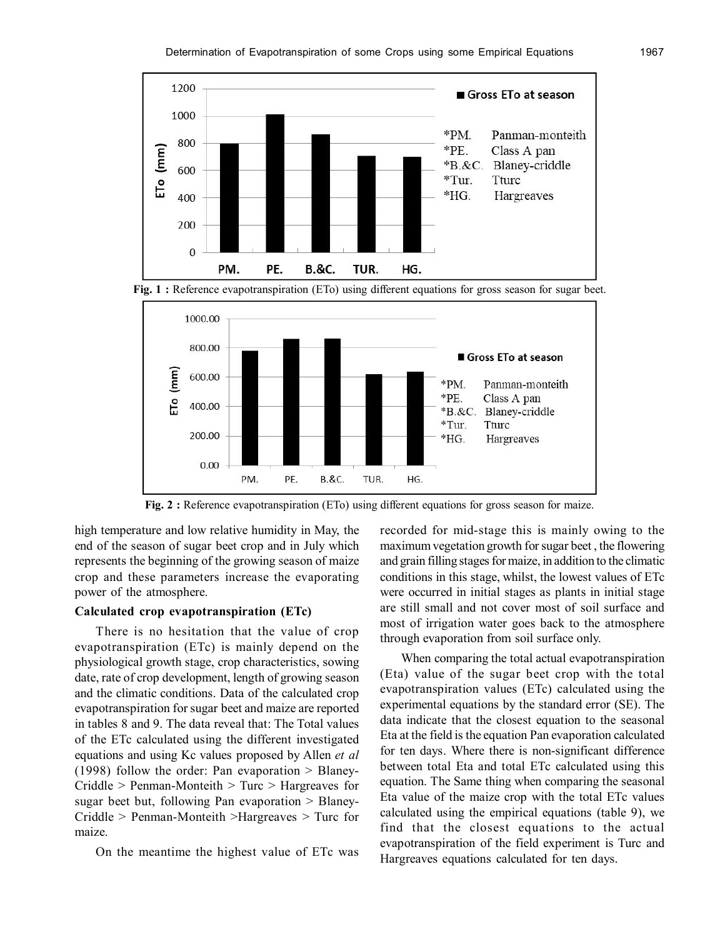





Fig. 2 : Reference evapotranspiration (ETo) using different equations for gross season for maize.

high temperature and low relative humidity in May, the end of the season of sugar beet crop and in July which represents the beginning of the growing season of maize crop and these parameters increase the evaporating power of the atmosphere.

### **Calculated crop evapotranspiration (ETc)**

There is no hesitation that the value of crop evapotranspiration (ETc) is mainly depend on the physiological growth stage, crop characteristics, sowing date, rate of crop development, length of growing season and the climatic conditions. Data of the calculated crop evapotranspiration for sugar beet and maize are reported in tables 8 and 9. The data reveal that: The Total values of the ETc calculated using the different investigated equations and using Kc values proposed by Allen *et al*  $(1998)$  follow the order: Pan evaporation  $>$  Blaney-Criddle > Penman-Monteith > Turc > Hargreaves for sugar beet but, following Pan evaporation > Blaney-Criddle > Penman-Monteith >Hargreaves > Turc for maize.

On the meantime the highest value of ETc was

recorded for mid-stage this is mainly owing to the maximum vegetation growth for sugar beet , the flowering and grain filling stages for maize, in addition to the climatic conditions in this stage, whilst, the lowest values of ETc were occurred in initial stages as plants in initial stage are still small and not cover most of soil surface and most of irrigation water goes back to the atmosphere through evaporation from soil surface only.

When comparing the total actual evapotranspiration (Eta) value of the sugar beet crop with the total evapotranspiration values (ETc) calculated using the experimental equations by the standard error (SE). The data indicate that the closest equation to the seasonal Eta at the field is the equation Pan evaporation calculated for ten days. Where there is non-significant difference between total Eta and total ETc calculated using this equation. The Same thing when comparing the seasonal Eta value of the maize crop with the total ETc values calculated using the empirical equations (table 9), we find that the closest equations to the actual evapotranspiration of the field experiment is Turc and Hargreaves equations calculated for ten days.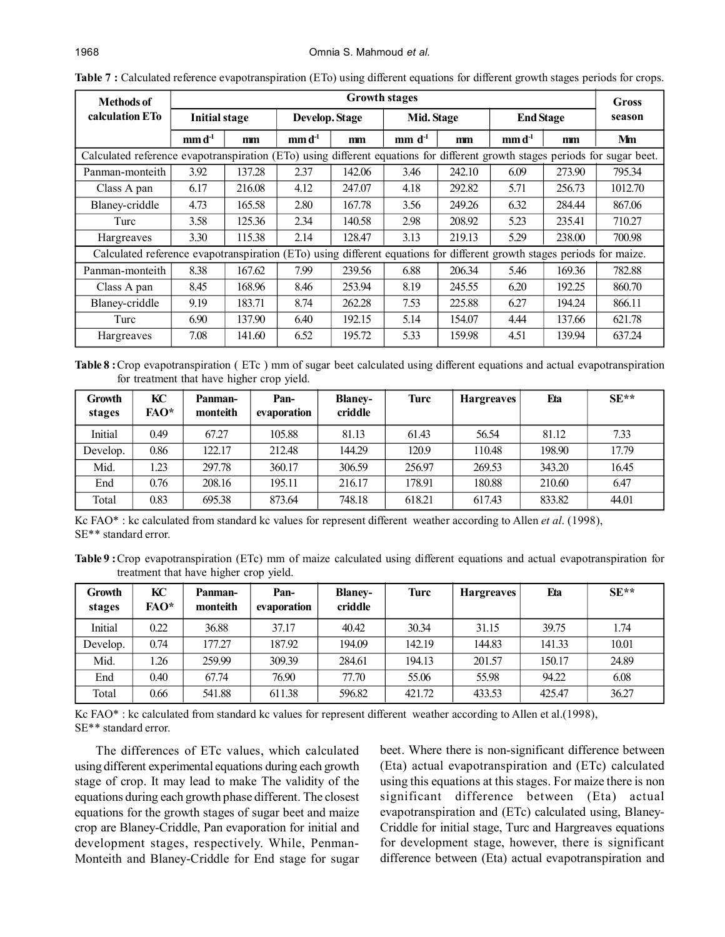| <b>Methods of</b>                                                                                                           |                                       |        |                                       | <b>Growth stages</b> |            |        |                                                |        | Gross   |
|-----------------------------------------------------------------------------------------------------------------------------|---------------------------------------|--------|---------------------------------------|----------------------|------------|--------|------------------------------------------------|--------|---------|
| calculation ETo                                                                                                             | <b>Initial stage</b>                  |        | Develop. Stage                        |                      | Mid. Stage |        | <b>End Stage</b>                               |        | season  |
|                                                                                                                             | $\mathbf{m}\mathbf{m}\mathbf{d}^{-1}$ | mm     | $\mathbf{m}\mathbf{m}\mathbf{d}^{-1}$ | mm                   | $mm d-1$   | mm     | $\mathbf{m}\mathbf{m}\,\mathbf{d}^{\text{-}1}$ | mm     | Mm      |
| Calculated reference evapotranspiration (ETo) using different equations for different growth stages periods for sugar beet. |                                       |        |                                       |                      |            |        |                                                |        |         |
| Panman-monteith                                                                                                             | 3.92                                  | 137.28 | 2.37                                  | 142.06               | 3.46       | 242.10 | 6.09                                           | 273.90 | 795.34  |
| Class A pan                                                                                                                 | 6.17                                  | 216.08 | 4.12                                  | 247.07               | 4.18       | 292.82 | 5.71                                           | 256.73 | 1012.70 |
| Blaney-criddle                                                                                                              | 4.73                                  | 165.58 | 2.80                                  | 167.78               | 3.56       | 249.26 | 6.32                                           | 284.44 | 867.06  |
| Turc                                                                                                                        | 3.58                                  | 125.36 | 2.34                                  | 140.58               | 2.98       | 208.92 | 5.23                                           | 235.41 | 710.27  |
| Hargreaves                                                                                                                  | 3.30                                  | 115.38 | 2.14                                  | 128.47               | 3.13       | 219.13 | 5.29                                           | 238.00 | 700.98  |
| Calculated reference evapotranspiration (ETo) using different equations for different growth stages periods for maize.      |                                       |        |                                       |                      |            |        |                                                |        |         |
| Panman-monteith                                                                                                             | 8.38                                  | 167.62 | 7.99                                  | 239.56               | 6.88       | 206.34 | 5.46                                           | 169.36 | 782.88  |
| Class A pan                                                                                                                 | 8.45                                  | 168.96 | 8.46                                  | 253.94               | 8.19       | 245.55 | 6.20                                           | 192.25 | 860.70  |
| Blaney-criddle                                                                                                              | 9.19                                  | 183.71 | 8.74                                  | 262.28               | 7.53       | 225.88 | 6.27                                           | 194.24 | 866.11  |
| Turc                                                                                                                        | 6.90                                  | 137.90 | 6.40                                  | 192.15               | 5.14       | 154.07 | 4.44                                           | 137.66 | 621.78  |
| Hargreaves                                                                                                                  | 7.08                                  | 141.60 | 6.52                                  | 195.72               | 5.33       | 159.98 | 4.51                                           | 139.94 | 637.24  |

**Table 7 :** Calculated reference evapotranspiration (ETo) using different equations for different growth stages periods for crops.

**Table 8 :**Crop evapotranspiration ( ETc ) mm of sugar beet calculated using different equations and actual evapotranspiration for treatment that have higher crop yield.

| Growth<br>stages | KC<br>FAO* | Panman-<br>monteith | Pan-<br>evaporation | <b>Blaney-</b><br>criddle | Turc   | Hargreaves | Eta    | $SE**$ |
|------------------|------------|---------------------|---------------------|---------------------------|--------|------------|--------|--------|
| Initial          | 0.49       | 67.27               | 105.88              | 81.13                     | 61.43  | 56.54      | 81.12  | 7.33   |
| Develop.         | 0.86       | 122.17              | 212.48              | 144.29                    | 120.9  | 110.48     | 198.90 | 17.79  |
| Mid.             | 1.23       | 297.78              | 360.17              | 306.59                    | 256.97 | 269.53     | 343.20 | 16.45  |
| End              | 0.76       | 208.16              | 195.11              | 216.17                    | 178.91 | 180.88     | 210.60 | 6.47   |
| Total            | 0.83       | 695.38              | 873.64              | 748.18                    | 618.21 | 617.43     | 833.82 | 44.01  |

Kc FAO\* : kc calculated from standard kc values for represent different weather according to Allen *et al*. (1998), SE\*\* standard error.

**Table 9 :**Crop evapotranspiration (ETc) mm of maize calculated using different equations and actual evapotranspiration for treatment that have higher crop yield.

| Growth<br>stages | KС<br>FAO* | Panman-<br>monteith | Pan-<br>evaporation | <b>Blaney-</b><br>criddle | Turc   | <b>Hargreaves</b> | Eta    | $SE**$ |
|------------------|------------|---------------------|---------------------|---------------------------|--------|-------------------|--------|--------|
| Initial          | 0.22       | 36.88               | 37.17               | 40.42                     | 30.34  | 31.15             | 39.75  | 1.74   |
| Develop.         | 0.74       | 177.27              | 187.92              | 194.09                    | 142.19 | 144.83            | 141.33 | 10.01  |
| Mid.             | 1.26       | 259.99              | 309.39              | 284.61                    | 194.13 | 201.57            | 150.17 | 24.89  |
| End              | 0.40       | 67.74               | 76.90               | 77.70                     | 55.06  | 55.98             | 94.22  | 6.08   |
| Total            | 0.66       | 541.88              | 611.38              | 596.82                    | 421.72 | 433.53            | 425.47 | 36.27  |

Kc FAO\* : kc calculated from standard kc values for represent different weather according to Allen et al.(1998), SE\*\* standard error.

The differences of ETc values, which calculated using different experimental equations during each growth stage of crop. It may lead to make The validity of the equations during each growth phase different. The closest equations for the growth stages of sugar beet and maize crop are Blaney-Criddle, Pan evaporation for initial and development stages, respectively. While, Penman-Monteith and Blaney-Criddle for End stage for sugar beet. Where there is non-significant difference between (Eta) actual evapotranspiration and (ETc) calculated using this equations at this stages. For maize there is non significant difference between (Eta) actual evapotranspiration and (ETc) calculated using, Blaney-Criddle for initial stage, Turc and Hargreaves equations for development stage, however, there is significant difference between (Eta) actual evapotranspiration and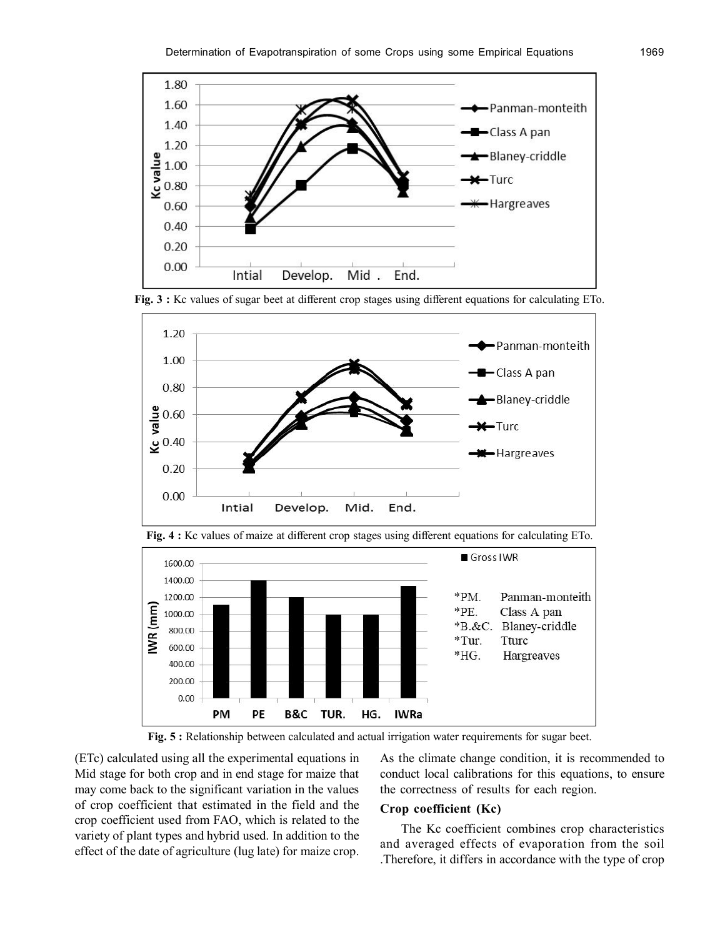

**Fig. 3 :** Kc values of sugar beet at different crop stages using different equations for calculating ETo.





**Fig. 4 :** Kc values of maize at different crop stages using different equations for calculating ETo.

Fig. 5 : Relationship between calculated and actual irrigation water requirements for sugar beet.

(ETc) calculated using all the experimental equations in Mid stage for both crop and in end stage for maize that may come back to the significant variation in the values of crop coefficient that estimated in the field and the crop coefficient used from FAO, which is related to the variety of plant types and hybrid used. In addition to the effect of the date of agriculture (lug late) for maize crop.

As the climate change condition, it is recommended to conduct local calibrations for this equations, to ensure the correctness of results for each region.

#### **Crop coefficient (Kc)**

The Kc coefficient combines crop characteristics and averaged effects of evaporation from the soil .Therefore, it differs in accordance with the type of crop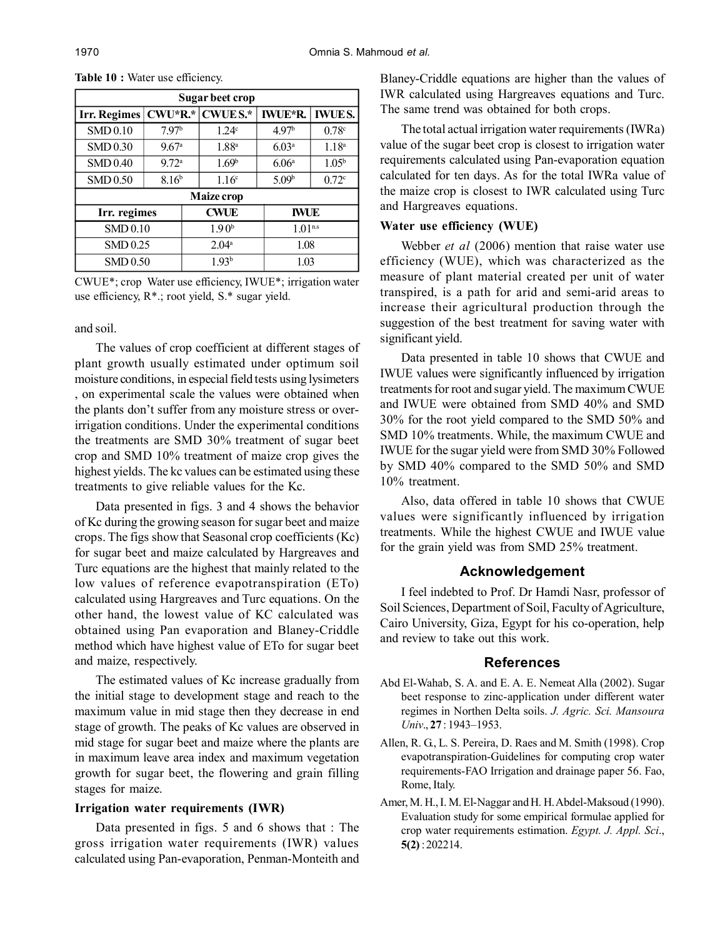| Sugar beet crop |                     |                   |                   |                    |                   |  |  |  |  |  |
|-----------------|---------------------|-------------------|-------------------|--------------------|-------------------|--|--|--|--|--|
| Irr. Regimes    | $CWU^*R.*$          |                   | <b>CWUE S.*</b>   | <b>IWUE*R.</b>     | <b>IWUES.</b>     |  |  |  |  |  |
| <b>SMD0.10</b>  | 7.97 <sup>b</sup>   |                   | 1.24 <sup>c</sup> | 4.97 <sup>b</sup>  | 0.78c             |  |  |  |  |  |
| SMD 0.30        | $9.67$ <sup>a</sup> |                   | 1.88 <sup>a</sup> | 6.03 <sup>a</sup>  | 1.18 <sup>a</sup> |  |  |  |  |  |
| SMD 0.40        | 9.72 <sup>a</sup>   |                   | 1.69 <sup>b</sup> | 6.06 <sup>a</sup>  | 1.05 <sup>b</sup> |  |  |  |  |  |
| SMD 0.50        | 8.16 <sup>b</sup>   |                   | 1.16 <sup>c</sup> | 5.09 <sup>b</sup>  | 0.72 <sup>c</sup> |  |  |  |  |  |
|                 |                     |                   | Maize crop        |                    |                   |  |  |  |  |  |
| Irr. regimes    |                     |                   | <b>CWUE</b>       | <b>IWUE</b>        |                   |  |  |  |  |  |
| SMD 0.10        |                     |                   | 1.90 <sup>b</sup> | 1.01 <sup>ns</sup> |                   |  |  |  |  |  |
| SMD 0.25        |                     | $2.04^a$          |                   | 1.08               |                   |  |  |  |  |  |
| <b>SMD0.50</b>  |                     | 1.93 <sup>b</sup> |                   | 1.03               |                   |  |  |  |  |  |

Table 10 : Water use efficiency.

CWUE\*; crop Water use efficiency, IWUE\*; irrigation water use efficiency, R\*.; root yield, S.\* sugar yield.

#### and soil.

The values of crop coefficient at different stages of plant growth usually estimated under optimum soil moisture conditions, in especial field tests using lysimeters , on experimental scale the values were obtained when the plants don't suffer from any moisture stress or overirrigation conditions. Under the experimental conditions the treatments are SMD 30% treatment of sugar beet crop and SMD 10% treatment of maize crop gives the highest yields. The kc values can be estimated using these treatments to give reliable values for the Kc.

Data presented in figs. 3 and 4 shows the behavior of Kc during the growing season for sugar beet and maize crops. The figs show that Seasonal crop coefficients (Kc) for sugar beet and maize calculated by Hargreaves and Turc equations are the highest that mainly related to the low values of reference evapotranspiration (ETo) calculated using Hargreaves and Turc equations. On the other hand, the lowest value of KC calculated was obtained using Pan evaporation and Blaney-Criddle method which have highest value of ETo for sugar beet and maize, respectively.

The estimated values of Kc increase gradually from the initial stage to development stage and reach to the maximum value in mid stage then they decrease in end stage of growth. The peaks of Kc values are observed in mid stage for sugar beet and maize where the plants are in maximum leave area index and maximum vegetation growth for sugar beet, the flowering and grain filling stages for maize.

### **Irrigation water requirements (IWR)**

Data presented in figs. 5 and 6 shows that : The gross irrigation water requirements (IWR) values calculated using Pan-evaporation, Penman-Monteith and

Blaney-Criddle equations are higher than the values of IWR calculated using Hargreaves equations and Turc. The same trend was obtained for both crops.

The total actual irrigation water requirements (IWRa) value of the sugar beet crop is closest to irrigation water requirements calculated using Pan-evaporation equation calculated for ten days. As for the total IWRa value of the maize crop is closest to IWR calculated using Turc and Hargreaves equations.

#### **Water use efficiency (WUE)**

Webber *et al* (2006) mention that raise water use efficiency (WUE), which was characterized as the measure of plant material created per unit of water transpired, is a path for arid and semi-arid areas to increase their agricultural production through the suggestion of the best treatment for saving water with significant yield.

Data presented in table 10 shows that CWUE and IWUE values were significantly influenced by irrigation treatments for root and sugar yield. The maximum CWUE and IWUE were obtained from SMD 40% and SMD 30% for the root yield compared to the SMD 50% and SMD 10% treatments. While, the maximum CWUE and IWUE for the sugar yield were from SMD 30% Followed by SMD 40% compared to the SMD 50% and SMD 10% treatment.

Also, data offered in table 10 shows that CWUE values were significantly influenced by irrigation treatments. While the highest CWUE and IWUE value for the grain yield was from SMD 25% treatment.

#### **Acknowledgement**

I feel indebted to Prof. Dr Hamdi Nasr, professor of Soil Sciences, Department of Soil, Faculty of Agriculture, Cairo University, Giza, Egypt for his co-operation, help and review to take out this work.

#### **References**

- Abd El-Wahab, S. A. and E. A. E. Nemeat Alla (2002). Sugar beet response to zinc-application under different water regimes in Northen Delta soils. *J. Agric. Sci. Mansoura Univ*., **27** : 1943–1953.
- Allen, R. G., L. S. Pereira, D. Raes and M. Smith (1998). Crop evapotranspiration-Guidelines for computing crop water requirements-FAO Irrigation and drainage paper 56. Fao, Rome, Italy.
- Amer, M. H., I. M. El-Naggar and H. H. Abdel-Maksoud (1990). Evaluation study for some empirical formulae applied for crop water requirements estimation. *Egypt. J. Appl. Sci*., **5(2)** : 202214.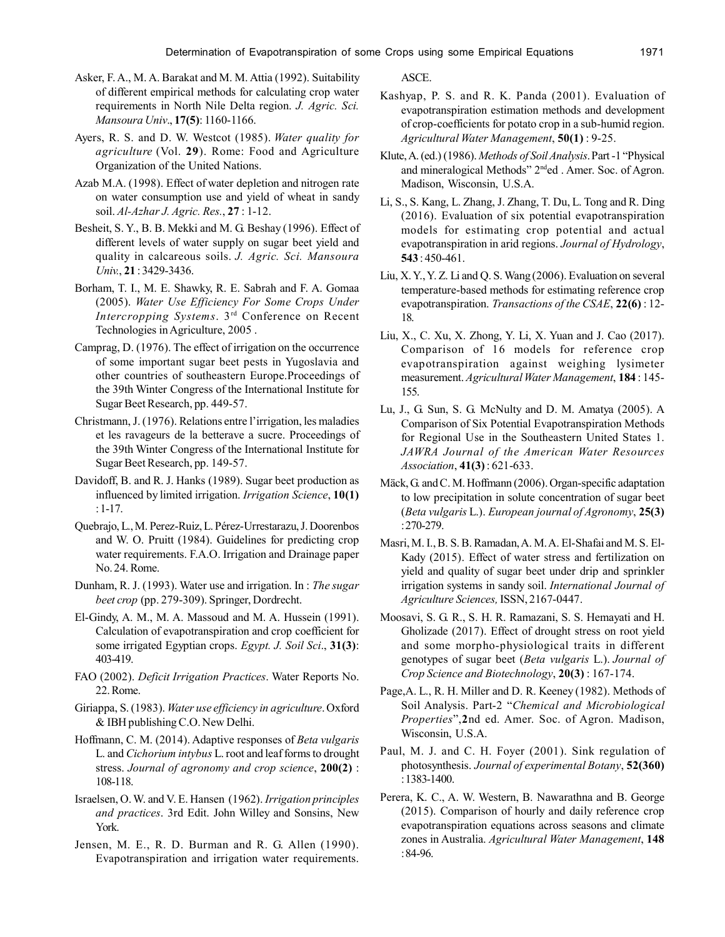- Asker, F. A., M. A. Barakat and M. M. Attia (1992). Suitability of different empirical methods for calculating crop water requirements in North Nile Delta region. *J. Agric. Sci. Mansoura Univ*., **17(5)**: 1160-1166.
- Ayers, R. S. and D. W. Westcot (1985). *Water quality for agriculture* (Vol. **29**). Rome: Food and Agriculture Organization of the United Nations.
- Azab M.A. (1998). Effect of water depletion and nitrogen rate on water consumption use and yield of wheat in sandy soil. *Al-Azhar J. Agric. Res.*, **27** : 1-12.
- Besheit, S. Y., B. B. Mekki and M. G. Beshay (1996). Effect of different levels of water supply on sugar beet yield and quality in calcareous soils. *J. Agric. Sci. Mansoura Univ.*, **21** : 3429-3436.
- Borham, T. I., M. E. Shawky, R. E. Sabrah and F. A. Gomaa (2005). *Water Use Efficiency For Some Crops Under Intercropping Systems*. 3 rd Conference on Recent Technologies in Agriculture, 2005 .
- Camprag, D. (1976). The effect of irrigation on the occurrence of some important sugar beet pests in Yugoslavia and other countries of southeastern Europe.Proceedings of the 39th Winter Congress of the International Institute for Sugar Beet Research, pp. 449-57.
- Christmann, J. (1976). Relations entre l'irrigation, les maladies et les ravageurs de la betterave a sucre. Proceedings of the 39th Winter Congress of the International Institute for Sugar Beet Research, pp. 149-57.
- Davidoff, B. and R. J. Hanks (1989). Sugar beet production as influenced by limited irrigation. *Irrigation Science*, **10(1)** : 1-17.
- Quebrajo, L., M. Perez-Ruiz, L. Pérez-Urrestarazu, J. Doorenbos and W. O. Pruitt (1984). Guidelines for predicting crop water requirements. F.A.O. Irrigation and Drainage paper No. 24. Rome.
- Dunham, R. J. (1993). Water use and irrigation. In : *The sugar beet crop* (pp. 279-309). Springer, Dordrecht.
- El-Gindy, A. M., M. A. Massoud and M. A. Hussein (1991). Calculation of evapotranspiration and crop coefficient for some irrigated Egyptian crops. *Egypt. J. Soil Sci*., **31(3)**: 403-419.
- FAO (2002). *Deficit Irrigation Practices*. Water Reports No. 22. Rome.
- Giriappa, S. (1983). *Water use efficiency in agriculture*. Oxford & IBH publishing C.O. New Delhi.
- Hoffmann, C. M. (2014). Adaptive responses of *Beta vulgaris* L. and *Cichorium intybus* L. root and leaf forms to drought stress. *Journal of agronomy and crop science*, **200(2)** : 108-118.
- Israelsen, O. W. and V. E. Hansen (1962). *Irrigation principles and practices*. 3rd Edit. John Willey and Sonsins, New York.
- Jensen, M. E., R. D. Burman and R. G. Allen (1990). Evapotranspiration and irrigation water requirements.

ASCE.

- Kashyap, P. S. and R. K. Panda (2001). Evaluation of evapotranspiration estimation methods and development of crop-coefficients for potato crop in a sub-humid region. *Agricultural Water Management*, **50(1)** : 9-25.
- Klute, A. (ed.) (1986). *Methods of Soil Analysis*. Part -1 "Physical and mineralogical Methods" 2<sup>nd</sup>ed . Amer. Soc. of Agron. Madison, Wisconsin, U.S.A.
- Li, S., S. Kang, L. Zhang, J. Zhang, T. Du, L. Tong and R. Ding (2016). Evaluation of six potential evapotranspiration models for estimating crop potential and actual evapotranspiration in arid regions. *Journal of Hydrology*, **543** : 450-461.
- Liu, X. Y., Y. Z. Li and Q. S. Wang (2006). Evaluation on several temperature-based methods for estimating reference crop evapotranspiration. *Transactions of the CSAE*, **22(6)** : 12- 18.
- Liu, X., C. Xu, X. Zhong, Y. Li, X. Yuan and J. Cao (2017). Comparison of 16 models for reference crop evapotranspiration against weighing lysimeter measurement. *Agricultural Water Management*, **184** : 145- 155.
- Lu, J., G. Sun, S. G. McNulty and D. M. Amatya (2005). A Comparison of Six Potential Evapotranspiration Methods for Regional Use in the Southeastern United States 1. *JAWRA Journal of the American Water Resources Association*, **41(3)** : 621-633.
- Mäck, G. and C. M. Hoffmann (2006). Organ-specific adaptation to low precipitation in solute concentration of sugar beet (*Beta vulgaris* L.). *European journal of Agronomy*, **25(3)** : 270-279.
- Masri, M. I., B. S. B. Ramadan, A. M. A. El-Shafai and M. S. El-Kady (2015). Effect of water stress and fertilization on yield and quality of sugar beet under drip and sprinkler irrigation systems in sandy soil. *International Journal of Agriculture Sciences,* ISSN, 2167-0447.
- Moosavi, S. G. R., S. H. R. Ramazani, S. S. Hemayati and H. Gholizade (2017). Effect of drought stress on root yield and some morpho-physiological traits in different genotypes of sugar beet (*Beta vulgaris* L.). *Journal of Crop Science and Biotechnology*, **20(3)** : 167-174.
- Page,A. L., R. H. Miller and D. R. Keeney (1982). Methods of Soil Analysis. Part-2 "*Chemical and Microbiological Properties*",**2**nd ed. Amer. Soc. of Agron. Madison, Wisconsin, U.S.A.
- Paul, M. J. and C. H. Foyer (2001). Sink regulation of photosynthesis. *Journal of experimental Botany*, **52(360)** : 1383-1400.
- Perera, K. C., A. W. Western, B. Nawarathna and B. George (2015). Comparison of hourly and daily reference crop evapotranspiration equations across seasons and climate zones in Australia. *Agricultural Water Management*, **148** : 84-96.